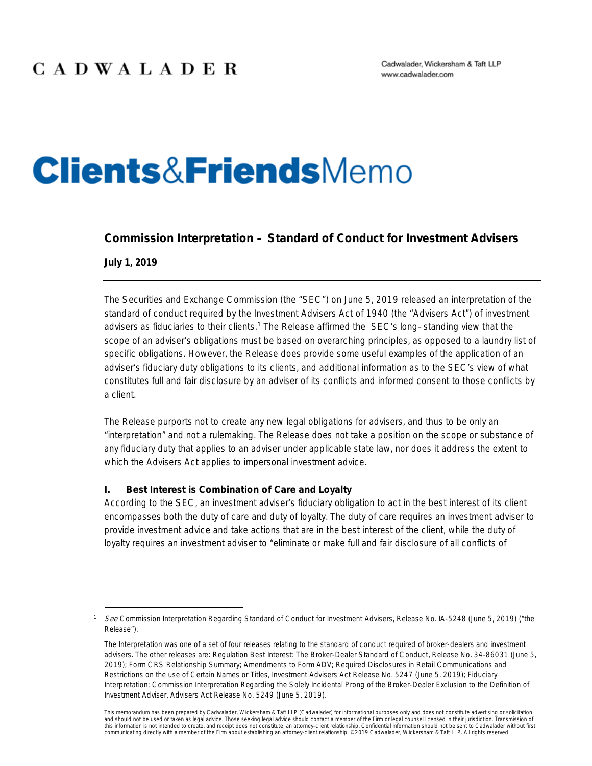# **Clients&Friends**Memo

### **Commission Interpretation – Standard of Conduct for Investment Advisers**

**July 1, 2019**

The Securities and Exchange Commission (the "SEC") on June 5, 2019 released an interpretation of the standard of conduct required by the Investment Advisers Act of 1940 (the "Advisers Act") of investment advisers as fiduciaries to their clients.<sup>[1](#page-0-0)</sup> The Release affirmed the SEC's long–standing view that the scope of an adviser's obligations must be based on overarching principles, as opposed to a laundry list of specific obligations. However, the Release does provide some useful examples of the application of an adviser's fiduciary duty obligations to its clients, and additional information as to the SEC's view of what constitutes full and fair disclosure by an adviser of its conflicts and informed consent to those conflicts by a client.

The Release purports not to create any new legal obligations for advisers, and thus to be only an "interpretation" and not a rulemaking. The Release does not take a position on the scope or substance of any fiduciary duty that applies to an adviser under applicable state law, nor does it address the extent to which the Advisers Act applies to impersonal investment advice.

### **I. Best Interest is Combination of Care and Loyalty**

According to the SEC, an investment adviser's fiduciary obligation to act in the best interest of its client encompasses both the duty of care and duty of loyalty. The duty of care requires an investment adviser to provide investment advice and take actions that are in the best interest of the client, while the duty of loyalty requires an investment adviser to "eliminate or make full and fair disclosure of all conflicts of

<span id="page-0-0"></span>See Commission Interpretation Regarding Standard of Conduct for Investment Advisers, Release No. IA-5248 (June 5, 2019) ("the Release").

The Interpretation was one of a set of four releases relating to the standard of conduct required of broker-dealers and investment advisers. The other releases are: Regulation Best Interest: The Broker-Dealer Standard of Conduct, Release No. 34-86031 (June 5, 2019); Form CRS Relationship Summary; Amendments to Form ADV; Required Disclosures in Retail Communications and Restrictions on the use of Certain Names or Titles, Investment Advisers Act Release No. 5247 (June 5, 2019); Fiduciary Interpretation; Commission Interpretation Regarding the Solely Incidental Prong of the Broker-Dealer Exclusion to the Definition of Investment Adviser, Advisers Act Release No. 5249 (June 5, 2019).

This memorandum has been prepared by Cadwalader, Wickersham & Taft LLP (Cadwalader) for informational purposes only and does not constitute advertising or solicitation and should not be used or taken as legal advice. Those seeking legal advice should contact a member of the Firm or legal counsel licensed in their jurisdiction. Transmission of this information is not intended to create, and receipt does not constitute, an attorney-client relationship. Confidential information should not be sent to Cadwalader without first<br>communicating directly with a member of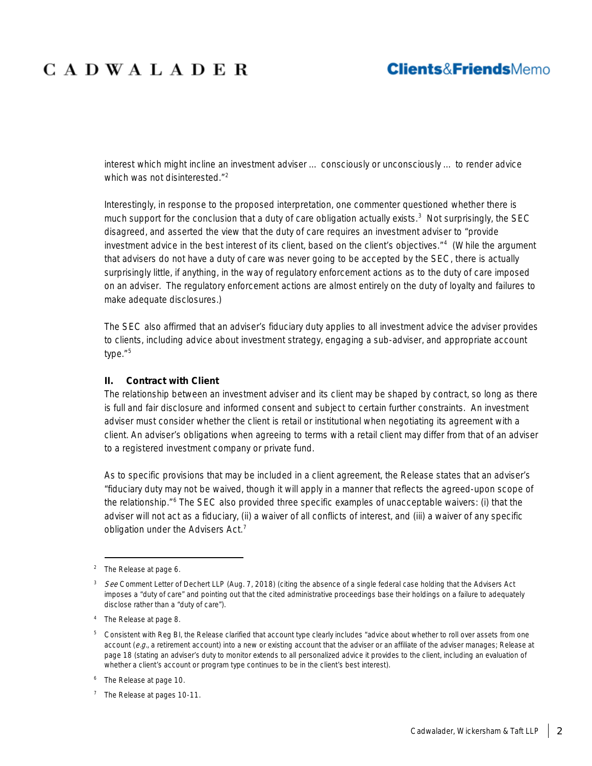### **Clients&FriendsMemo**

interest which might incline an investment adviser … consciously or unconsciously … to render advice which was not disinterested."<sup>[2](#page-1-0)</sup>

Interestingly, in response to the proposed interpretation, one commenter questioned whether there is much support for the conclusion that a duty of care obligation actually exists.<sup>[3](#page-1-1)</sup> Not surprisingly, the SEC disagreed, and asserted the view that the duty of care requires an investment adviser to "provide investment advice in the best interest of its client, based on the client's objectives."[4](#page-1-2) (While the argument that advisers do not have a duty of care was never going to be accepted by the SEC, there is actually surprisingly little, if anything, in the way of regulatory enforcement actions as to the duty of care imposed on an adviser. The regulatory enforcement actions are almost entirely on the duty of loyalty and failures to make adequate disclosures.)

The SEC also affirmed that an adviser's fiduciary duty applies to all investment advice the adviser provides to clients, including advice about investment strategy, engaging a sub-adviser, and appropriate account type."<sup>[5](#page-1-3)</sup>

#### **II. Contract with Client**

The relationship between an investment adviser and its client may be shaped by contract, so long as there is full and fair disclosure and informed consent and subject to certain further constraints. An investment adviser must consider whether the client is retail or institutional when negotiating its agreement with a client. An adviser's obligations when agreeing to terms with a retail client may differ from that of an adviser to a registered investment company or private fund.

As to specific provisions that may be included in a client agreement, the Release states that an adviser's "fiduciary duty may not be waived, though it will apply in a manner that reflects the agreed-upon scope of the relationship."[6](#page-1-4) The SEC also provided three specific examples of unacceptable waivers: (i) that the adviser will not act as a fiduciary, (ii) a waiver of all conflicts of interest, and (iii) a waiver of any specific obligation under the Advisers Act.<sup>[7](#page-1-5)</sup>

<span id="page-1-0"></span> <sup>2</sup> The Release at page 6.

<span id="page-1-1"></span><sup>3</sup> See Comment Letter of Dechert LLP (Aug. 7, 2018) (citing the absence of a single federal case holding that the Advisers Act imposes a "duty of care" and pointing out that the cited administrative proceedings base their holdings on a failure to adequately disclose rather than a "duty of care").

<span id="page-1-2"></span><sup>4</sup> The Release at page 8.

<span id="page-1-3"></span><sup>&</sup>lt;sup>5</sup> Consistent with Reg BI, the Release clarified that account type clearly includes "advice about whether to roll over assets from one account  $(e.g.,$  a retirement account) into a new or existing account that the adviser or an affiliate of the adviser manages; Release at page 18 (stating an adviser's duty to monitor extends to all personalized advice it provides to the client, including an evaluation of whether a client's account or program type continues to be in the client's best interest).

<span id="page-1-4"></span><sup>6</sup> The Release at page 10.

<span id="page-1-5"></span><sup>&</sup>lt;sup>7</sup> The Release at pages 10-11.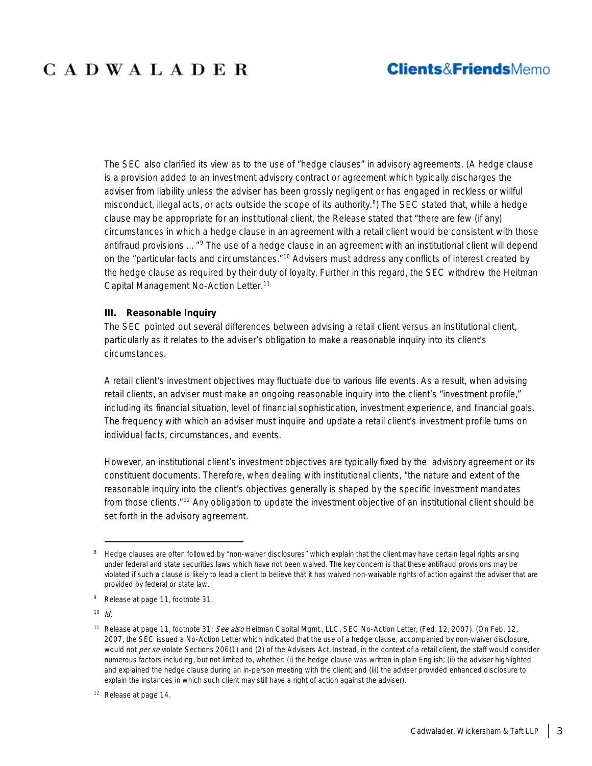The SEC also clarified its view as to the use of "hedge clauses" in advisory agreements. (A hedge clause is a provision added to an investment advisory contract or agreement which typically discharges the adviser from liability unless the adviser has been grossly negligent or has engaged in reckless or willful misconduct, illegal acts, or acts outside the scope of its authority.<sup>[8](#page-2-0)</sup>) The SEC stated that, while a hedge clause may be appropriate for an institutional client, the Release stated that "there are few (if any) circumstances in which a hedge clause in an agreement with a retail client would be consistent with those antifraud provisions ..."<sup>[9](#page-2-1)</sup> The use of a hedge clause in an agreement with an institutional client will depend on the "particular facts and circumstances."<sup>[10](#page-2-2)</sup> Advisers must address any conflicts of interest created by the hedge clause as required by their duty of loyalty. Further in this regard, the SEC withdrew the Heitman Capital Management No-Action Letter.<sup>[11](#page-2-3)</sup>

#### **III. Reasonable Inquiry**

The SEC pointed out several differences between advising a retail client versus an institutional client, particularly as it relates to the adviser's obligation to make a reasonable inquiry into its client's circumstances.

A retail client's investment objectives may fluctuate due to various life events. As a result, when advising retail clients, an adviser must make an ongoing reasonable inquiry into the client's "investment profile," including its financial situation, level of financial sophistication, investment experience, and financial goals. The frequency with which an adviser must inquire and update a retail client's investment profile turns on individual facts, circumstances, and events.

However, an institutional client's investment objectives are typically fixed by the advisory agreement or its constituent documents. Therefore, when dealing with institutional clients, "the nature and extent of the reasonable inquiry into the client's objectives generally is shaped by the specific investment mandates from those clients."<sup>[12](#page-2-4)</sup> Any obligation to update the investment objective of an institutional client should be set forth in the advisory agreement.

<span id="page-2-2"></span> $10$  *Id.* 

<span id="page-2-0"></span><sup>&</sup>lt;sup>8</sup> Hedge clauses are often followed by "non-waiver disclosures" which explain that the client may have certain legal rights arising under federal and state securities laws which have not been waived. The key concern is that these antifraud provisions may be violated if such a clause is likely to lead a client to believe that it has waived non-waivable rights of action against the adviser that are provided by federal or state law.

<span id="page-2-1"></span><sup>9</sup> Release at page 11, footnote 31.

<span id="page-2-3"></span><sup>&</sup>lt;sup>11</sup> Release at page 11, footnote 31; See also Heitman Capital Mgmt., LLC, SEC No-Action Letter, (Fed. 12, 2007). (On Feb. 12, 2007, the SEC issued a No-Action Letter which indicated that the use of a hedge clause, accompanied by non-waiver disclosure, would not per se violate Sections 206(1) and (2) of the Advisers Act. Instead, in the context of a retail client, the staff would consider numerous factors including, but not limited to, whether: (i) the hedge clause was written in plain English; (ii) the adviser highlighted and explained the hedge clause during an in-person meeting with the client; and (iii) the adviser provided enhanced disclosure to explain the instances in which such client may still have a right of action against the adviser).

<span id="page-2-4"></span><sup>&</sup>lt;sup>12</sup> Release at page 14.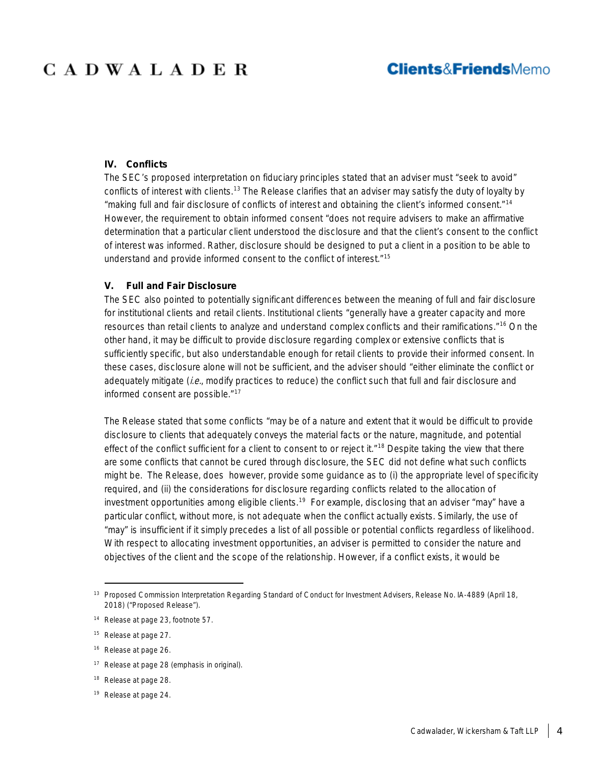### **IV. Conflicts**

The SEC's proposed interpretation on fiduciary principles stated that an adviser must "seek to avoid" conflicts of interest with clients.<sup>[13](#page-3-0)</sup> The Release clarifies that an adviser may satisfy the duty of loyalty by "making full and fair disclosure of conflicts of interest and obtaining the client's informed consent."[14](#page-3-1) However, the requirement to obtain informed consent "does not require advisers to make an affirmative determination that a particular client understood the disclosure and that the client's consent to the conflict of interest was informed. Rather, disclosure should be designed to put a client in a position to be able to understand and provide informed consent to the conflict of interest."[15](#page-3-2)

#### **V. Full and Fair Disclosure**

The SEC also pointed to potentially significant differences between the meaning of full and fair disclosure for institutional clients and retail clients. Institutional clients "generally have a greater capacity and more resources than retail clients to analyze and understand complex conflicts and their ramifications."[16](#page-3-3) On the other hand, it may be difficult to provide disclosure regarding complex or extensive conflicts that is sufficiently specific, but also understandable enough for retail clients to provide their informed consent. In these cases, disclosure alone will not be sufficient, and the adviser should "either eliminate the conflict or adequately mitigate (i.e., modify practices to reduce) the conflict such that full and fair disclosure and informed consent are possible."<sup>[17](#page-3-4)</sup>

The Release stated that some conflicts "may be of a nature and extent that it would be difficult to provide disclosure to clients that adequately conveys the material facts or the nature, magnitude, and potential effect of the conflict sufficient for a client to consent to or reject it."<sup>[18](#page-3-5)</sup> Despite taking the view that there are some conflicts that cannot be cured through disclosure, the SEC did not define what such conflicts might be. The Release, does however, provide some guidance as to (i) the appropriate level of specificity required, and (ii) the considerations for disclosure regarding conflicts related to the allocation of investment opportunities among eligible clients.<sup>[19](#page-3-6)</sup> For example, disclosing that an adviser "may" have a particular conflict, without more, is not adequate when the conflict actually exists. Similarly, the use of "may" is insufficient if it simply precedes a list of all possible or potential conflicts regardless of likelihood. With respect to allocating investment opportunities, an adviser is permitted to consider the nature and objectives of the client and the scope of the relationship. However, if a conflict exists, it would be

- <span id="page-3-4"></span><sup>17</sup> Release at page 28 (emphasis in original).
- <span id="page-3-5"></span><sup>18</sup> Release at page 28.
- <span id="page-3-6"></span><sup>19</sup> Release at page 24.

<span id="page-3-0"></span><sup>&</sup>lt;sup>13</sup> Proposed Commission Interpretation Regarding Standard of Conduct for Investment Advisers, Release No. IA-4889 (April 18, 2018) ("Proposed Release").

<span id="page-3-1"></span><sup>14</sup> Release at page 23, footnote 57.

<span id="page-3-2"></span><sup>15</sup> Release at page 27.

<span id="page-3-3"></span><sup>16</sup> Release at page 26.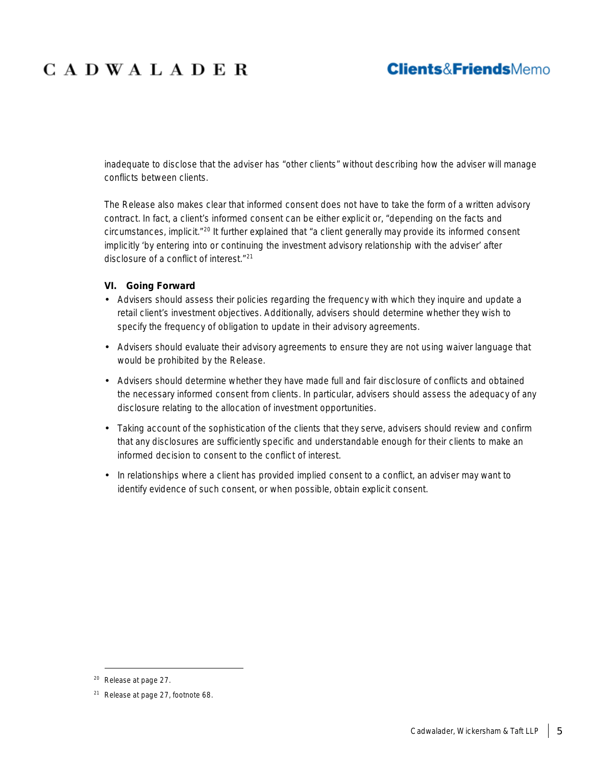### **Clients&FriendsMemo**

inadequate to disclose that the adviser has "other clients" without describing how the adviser will manage conflicts between clients.

The Release also makes clear that informed consent does not have to take the form of a written advisory contract. In fact, a client's informed consent can be either explicit or, "depending on the facts and circumstances, implicit."[20](#page-4-0) It further explained that "a client generally may provide its informed consent implicitly 'by entering into or continuing the investment advisory relationship with the adviser' after disclosure of a conflict of interest."[21](#page-4-1)

### **VI. Going Forward**

- Advisers should assess their policies regarding the frequency with which they inquire and update a retail client's investment objectives. Additionally, advisers should determine whether they wish to specify the frequency of obligation to update in their advisory agreements.
- Advisers should evaluate their advisory agreements to ensure they are not using waiver language that would be prohibited by the Release.
- Advisers should determine whether they have made full and fair disclosure of conflicts and obtained the necessary informed consent from clients. In particular, advisers should assess the adequacy of any disclosure relating to the allocation of investment opportunities.
- Taking account of the sophistication of the clients that they serve, advisers should review and confirm that any disclosures are sufficiently specific and understandable enough for their clients to make an informed decision to consent to the conflict of interest.
- In relationships where a client has provided implied consent to a conflict, an adviser may want to identify evidence of such consent, or when possible, obtain explicit consent.

<span id="page-4-0"></span> <sup>20</sup> Release at page 27.

<span id="page-4-1"></span><sup>21</sup> Release at page 27, footnote 68.